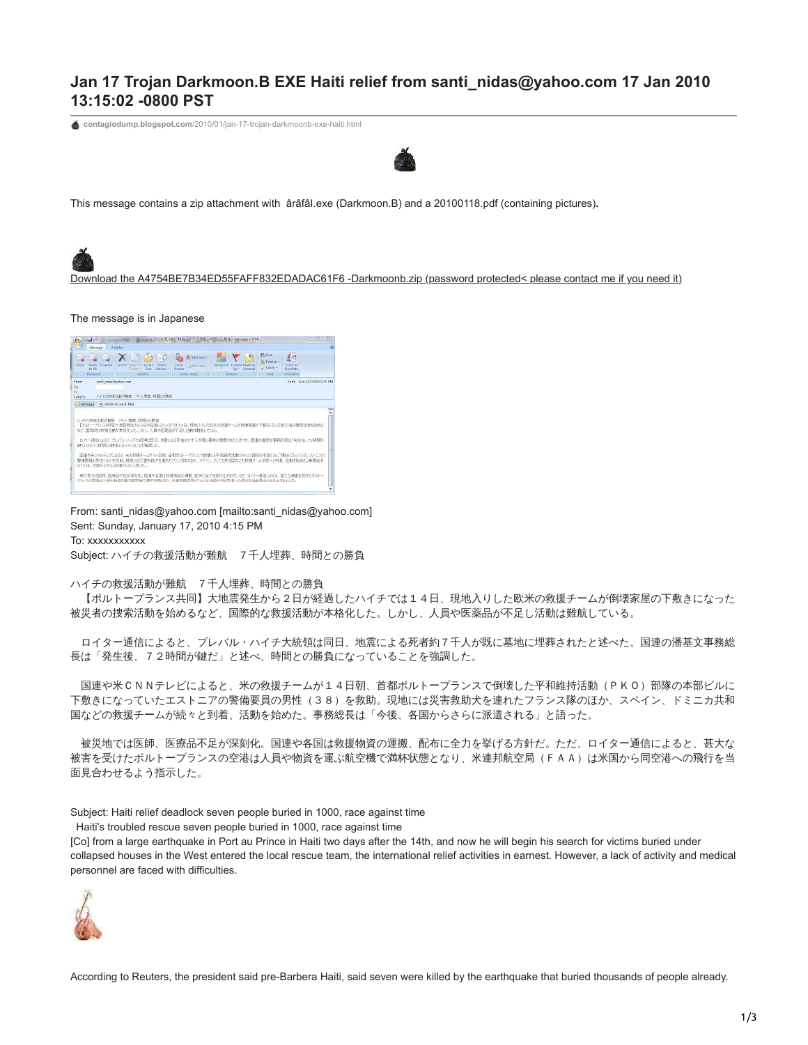## **Jan 17 Trojan Darkmoon.B EXE Haiti relief from santi\_nidas@yahoo.com 17 Jan 2010 13:15:02 -0800 PST**

**contagiodump.blogspot.com**[/2010/01/jan-17-trojan-darkmoonb-exe-haiti.html](http://contagiodump.blogspot.com/2010/01/jan-17-trojan-darkmoonb-exe-haiti.html)



This message contains a zip attachment with ârâfâI.exe (Darkmoon.B) and a 20100118.pdf (containing pictures)**.**



## The message is in Japanese



From: santi\_nidas@yahoo.com [mailto:santi\_nidas@yahoo.com] Sent: Sunday, January 17, 2010 4:15 PM To: xxxxxxxxxxx

Subject: ハイチの救援活動が難航 7千人埋葬、時間との勝負

ハイチの救援活動が難航 7千人埋葬、時間との勝負

【ポルトープランス共同】大地震発生から2日が経過したハイチでは14日、現地入りした欧米の救援チームが倒壊家屋の下敷きになった 被災者の捜索活動を始めるなど、国際的な救援活動が本格化した。しかし、人員や医薬品が不足し活動は難航している。

ロイター通信によると、プレバル・ハイチ大統領は同日、地震による死者約7千人が既に墓地に埋葬されたと述べた。国連の潘基文事務総 長は「発生後、72時間が鍵だ」と述べ、時間との勝負になっていることを強調した。

国連や米CNNテレビによると、米の救援チームが14日朝、首都ポルトープランスで倒壊した平和維持活動 (PKO)部隊の本部ビルに 下敷きになっていたエストニアの警備要員の男性(38)を救助。現地には災害救助犬を連れたフランス隊のほか、スペイン、ドミニカ共和 国などの救援チームが続々と到着、活動を始めた。事務総長は「今後、各国からさらに派遣される」と語った。

被災地では医師、医療品不足が深刻化。国連や各国は救援物資の運搬、配布に全力を挙げる方針だ。ただ、ロイター通信によると、甚大な 被害を受けたポルトープランスの空港は人員や物資を運ぶ航空機で満杯状態となり、米連邦航空局(FAA)は米国から同空港への飛行を当 面見合わせるよう指示した。

Subject: Haiti relief deadlock seven people buried in 1000, race against time

Haiti's troubled rescue seven people buried in 1000, race against time

[Co] from a large earthquake in Port au Prince in Haiti two days after the 14th, and now he will begin his search for victims buried under collapsed houses in the West entered the local rescue team, the international relief activities in earnest. However, a lack of activity and medical personnel are faced with difficulties.



According to Reuters, the president said pre-Barbera Haiti, said seven were killed by the earthquake that buried thousands of people already.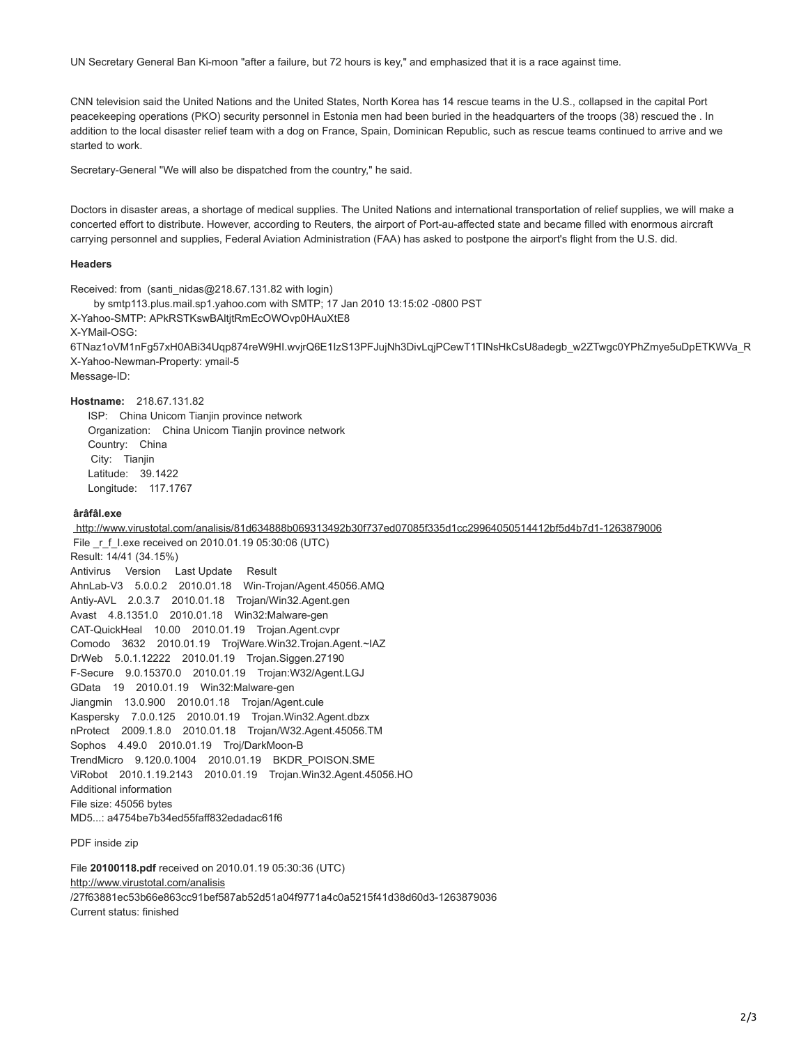UN Secretary General Ban Ki-moon "after a failure, but 72 hours is key," and emphasized that it is a race against time.

CNN television said the United Nations and the United States, North Korea has 14 rescue teams in the U.S., collapsed in the capital Port peacekeeping operations (PKO) security personnel in Estonia men had been buried in the headquarters of the troops (38) rescued the . In addition to the local disaster relief team with a dog on France, Spain, Dominican Republic, such as rescue teams continued to arrive and we started to work.

Secretary-General "We will also be dispatched from the country," he said.

Doctors in disaster areas, a shortage of medical supplies. The United Nations and international transportation of relief supplies, we will make a concerted effort to distribute. However, according to Reuters, the airport of Port-au-affected state and became filled with enormous aircraft carrying personnel and supplies, Federal Aviation Administration (FAA) has asked to postpone the airport's flight from the U.S. did.

## **Headers**

Received: from (santi\_nidas@218.67.131.82 with login) by smtp113.plus.mail.sp1.yahoo.com with SMTP; 17 Jan 2010 13:15:02 -0800 PST X-Yahoo-SMTP: APkRSTKswBAltjtRmEcOWOvp0HAuXtE8 X-YMail-OSG: 6TNaz1oVM1nFg57xH0ABi34Uqp874reW9HI.wvjrQ6E1IzS13PFJujNh3DivLqjPCewT1TINsHkCsU8adegb\_w2ZTwgc0YPhZmye5uDpETKWVa\_R X-Yahoo-Newman-Property: ymail-5 Message-ID:

**Hostname:** 218.67.131.82

 ISP: China Unicom Tianjin province network Organization: China Unicom Tianjin province network Country: China City: Tianjin Latitude: 39.1422 Longitude: 117.1767

## **ârâfâI.exe**

<http://www.virustotal.com/analisis/81d634888b069313492b30f737ed07085f335d1cc29964050514412bf5d4b7d1-1263879006> File r f I.exe received on 2010.01.19 05:30:06 (UTC) Result: 14/41 (34.15%) Antivirus Version Last Update Result AhnLab-V3 5.0.0.2 2010.01.18 Win-Trojan/Agent.45056.AMQ Antiy-AVL 2.0.3.7 2010.01.18 Trojan/Win32.Agent.gen Avast 4.8.1351.0 2010.01.18 Win32:Malware-gen CAT-QuickHeal 10.00 2010.01.19 Trojan.Agent.cvpr Comodo 3632 2010.01.19 TrojWare.Win32.Trojan.Agent.~IAZ DrWeb 5.0.1.12222 2010.01.19 Trojan.Siggen.27190 F-Secure 9.0.15370.0 2010.01.19 Trojan:W32/Agent.LGJ GData 19 2010.01.19 Win32:Malware-gen Jiangmin 13.0.900 2010.01.18 Trojan/Agent.cule Kaspersky 7.0.0.125 2010.01.19 Trojan.Win32.Agent.dbzx nProtect 2009.1.8.0 2010.01.18 Trojan/W32.Agent.45056.TM Sophos 4.49.0 2010.01.19 Troj/DarkMoon-B TrendMicro 9.120.0.1004 2010.01.19 BKDR\_POISON.SME ViRobot 2010.1.19.2143 2010.01.19 Trojan.Win32.Agent.45056.HO Additional information File size: 45056 bytes MD5...: a4754be7b34ed55faff832edadac61f6

PDF inside zip

File **20100118.pdf** received on 2010.01.19 05:30:36 (UTC) [http://www.virustotal.com/analisis](http://www.virustotal.com/analisis/27f63881ec53b66e863cc91bef587ab52d51a04f9771a4c0a5215f41d38d60d3-1263879036) /27f63881ec53b66e863cc91bef587ab52d51a04f9771a4c0a5215f41d38d60d3-1263879036 Current status: finished